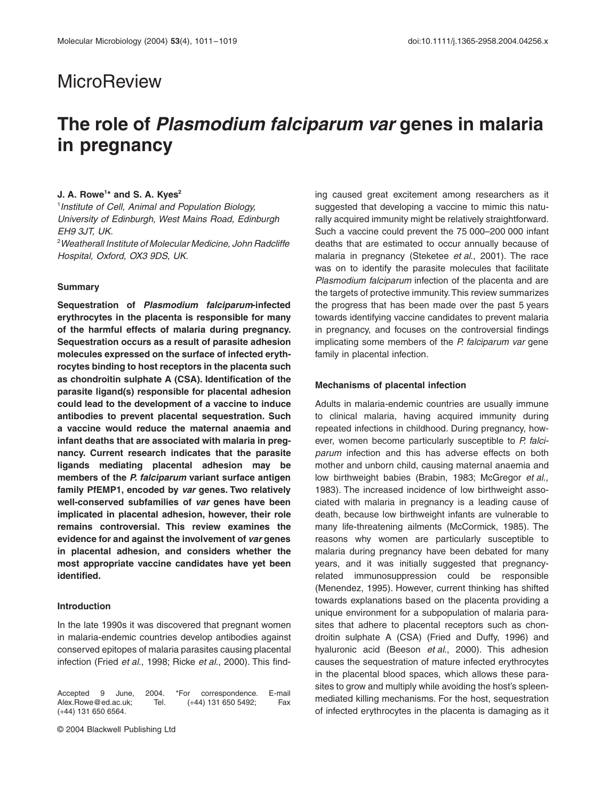# **MicroReview**

# **The role of** *Plasmodium falciparum var* **genes in malaria in pregnancy**

## **J. A. Rowe<sup>1\*</sup> and S. A. Kyes<sup>2</sup>**

1 *Institute of Cell, Animal and Population Biology, University of Edinburgh, West Mains Road, Edinburgh EH9 3JT, UK.*

2 *Weatherall Institute of Molecular Medicine, John Radcliffe Hospital, Oxford, OX3 9DS, UK.*

#### **Summary**

**Sequestration of** *Plasmodium falciparum***-infected erythrocytes in the placenta is responsible for many of the harmful effects of malaria during pregnancy. Sequestration occurs as a result of parasite adhesion molecules expressed on the surface of infected erythrocytes binding to host receptors in the placenta such as chondroitin sulphate A (CSA). Identification of the parasite ligand(s) responsible for placental adhesion could lead to the development of a vaccine to induce antibodies to prevent placental sequestration. Such a vaccine would reduce the maternal anaemia and infant deaths that are associated with malaria in pregnancy. Current research indicates that the parasite ligands mediating placental adhesion may be members of the** *P. falciparum* **variant surface antigen family PfEMP1, encoded by** *var* **genes. Two relatively well-conserved subfamilies of** *var* **genes have been implicated in placental adhesion, however, their role remains controversial. This review examines the evidence for and against the involvement of** *var* **genes in placental adhesion, and considers whether the most appropriate vaccine candidates have yet been identified.**

## **Introduction**

In the late 1990s it was discovered that pregnant women in malaria-endemic countries develop antibodies against conserved epitopes of malaria parasites causing placental infection (Fried *et al*., 1998; Ricke *et al*., 2000). This find-

Accepted 9 June, 2004. \*For correspondence. E-mail Alex.Rowe@ed.ac.uk; Tel. (+44) 131 650 5492; Fax (+44) 131 650 6564.

© 2004 Blackwell Publishing Ltd

ing caused great excitement among researchers as it suggested that developing a vaccine to mimic this naturally acquired immunity might be relatively straightforward. Such a vaccine could prevent the 75 000–200 000 infant deaths that are estimated to occur annually because of malaria in pregnancy (Steketee *et al*., 2001). The race was on to identify the parasite molecules that facilitate *Plasmodium falciparum* infection of the placenta and are the targets of protective immunity. This review summarizes the progress that has been made over the past 5 years towards identifying vaccine candidates to prevent malaria in pregnancy, and focuses on the controversial findings implicating some members of the *P. falciparum var* gene family in placental infection.

### **Mechanisms of placental infection**

Adults in malaria-endemic countries are usually immune to clinical malaria, having acquired immunity during repeated infections in childhood. During pregnancy, however, women become particularly susceptible to *P. falciparum* infection and this has adverse effects on both mother and unborn child, causing maternal anaemia and low birthweight babies (Brabin, 1983; McGregor *et al*., 1983). The increased incidence of low birthweight associated with malaria in pregnancy is a leading cause of death, because low birthweight infants are vulnerable to many life-threatening ailments (McCormick, 1985). The reasons why women are particularly susceptible to malaria during pregnancy have been debated for many years, and it was initially suggested that pregnancyrelated immunosuppression could be responsible (Menendez, 1995). However, current thinking has shifted towards explanations based on the placenta providing a unique environment for a subpopulation of malaria parasites that adhere to placental receptors such as chondroitin sulphate A (CSA) (Fried and Duffy, 1996) and hyaluronic acid (Beeson *et al*., 2000). This adhesion causes the sequestration of mature infected erythrocytes in the placental blood spaces, which allows these parasites to grow and multiply while avoiding the host's spleenmediated killing mechanisms. For the host, sequestration of infected erythrocytes in the placenta is damaging as it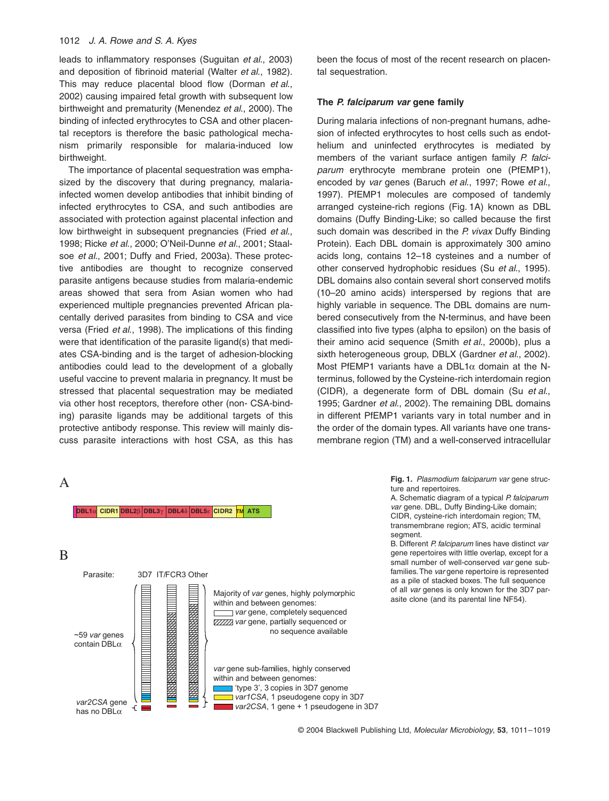## 1012 *J. A. Rowe and S. A. Kyes*

leads to inflammatory responses (Suguitan *et al*., 2003) and deposition of fibrinoid material (Walter *et al*., 1982). This may reduce placental blood flow (Dorman *et al*., 2002) causing impaired fetal growth with subsequent low birthweight and prematurity (Menendez *et al*., 2000). The binding of infected erythrocytes to CSA and other placental receptors is therefore the basic pathological mechanism primarily responsible for malaria-induced low birthweight.

The importance of placental sequestration was emphasized by the discovery that during pregnancy, malariainfected women develop antibodies that inhibit binding of infected erythrocytes to CSA, and such antibodies are associated with protection against placental infection and low birthweight in subsequent pregnancies (Fried *et al*., 1998; Ricke *et al*., 2000; O'Neil-Dunne *et al*., 2001; Staalsoe *et al*., 2001; Duffy and Fried, 2003a). These protective antibodies are thought to recognize conserved parasite antigens because studies from malaria-endemic areas showed that sera from Asian women who had experienced multiple pregnancies prevented African placentally derived parasites from binding to CSA and vice versa (Fried *et al*., 1998). The implications of this finding were that identification of the parasite ligand(s) that mediates CSA-binding and is the target of adhesion-blocking antibodies could lead to the development of a globally useful vaccine to prevent malaria in pregnancy. It must be stressed that placental sequestration may be mediated via other host receptors, therefore other (non- CSA-binding) parasite ligands may be additional targets of this protective antibody response. This review will mainly discuss parasite interactions with host CSA, as this has

**DBL1**a **CIDR1 DBL2**b **DBL3**g **DBL4**d **DBL5**e **CIDR2 TM ATS**

# A



been the focus of most of the recent research on placental sequestration.

## **The** *P. falciparum var* **gene family**

During malaria infections of non-pregnant humans, adhesion of infected erythrocytes to host cells such as endothelium and uninfected erythrocytes is mediated by members of the variant surface antigen family *P. falciparum* erythrocyte membrane protein one (PfEMP1), encoded by *var* genes (Baruch *et al*., 1997; Rowe *et al*., 1997). PfEMP1 molecules are composed of tandemly arranged cysteine-rich regions (Fig. 1A) known as DBL domains (Duffy Binding-Like; so called because the first such domain was described in the *P. vivax* Duffy Binding Protein). Each DBL domain is approximately 300 amino acids long, contains 12–18 cysteines and a number of other conserved hydrophobic residues (Su *et al*., 1995). DBL domains also contain several short conserved motifs (10–20 amino acids) interspersed by regions that are highly variable in sequence. The DBL domains are numbered consecutively from the N-terminus, and have been classified into five types (alpha to epsilon) on the basis of their amino acid sequence (Smith *et al*., 2000b), plus a sixth heterogeneous group, DBLX (Gardner *et al*., 2002). Most PfEMP1 variants have a DBL1 $\alpha$  domain at the Nterminus, followed by the Cysteine-rich interdomain region (CIDR), a degenerate form of DBL domain (Su *et al*., 1995; Gardner *et al*., 2002). The remaining DBL domains in different PfEMP1 variants vary in total number and in the order of the domain types. All variants have one transmembrane region (TM) and a well-conserved intracellular

> **Fig. 1.** *Plasmodium falciparum var* gene structure and repertoires.

> A. Schematic diagram of a typical *P. falciparum var* gene. DBL, Duffy Binding-Like domain; CIDR, cysteine-rich interdomain region; TM, transmembrane region; ATS, acidic terminal segment.

> B. Different *P. falciparum* lines have distinct *var* gene repertoires with little overlap, except for a small number of well-conserved *var* gene subfamilies. The *var* gene repertoire is represented as a pile of stacked boxes. The full sequence of all *var* genes is only known for the 3D7 parasite clone (and its parental line NF54).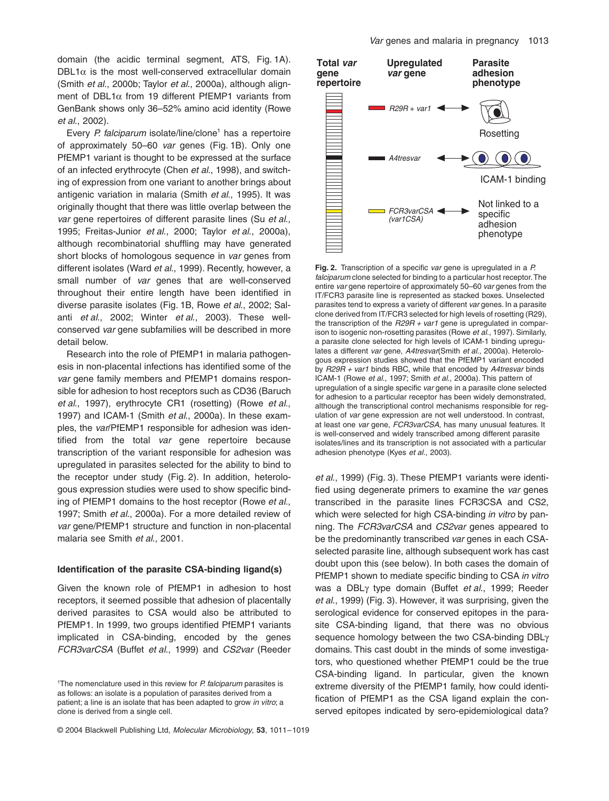domain (the acidic terminal segment, ATS, Fig. 1A).  $DBL1\alpha$  is the most well-conserved extracellular domain (Smith *et al*., 2000b; Taylor *et al*., 2000a), although alignment of DBL1 $\alpha$  from 19 different PfEMP1 variants from GenBank shows only 36–52% amino acid identity (Rowe *et al*., 2002).

Every *P. falciparum* isolate/line/clone<sup>1</sup> has a repertoire of approximately 50–60 *var* genes (Fig. 1B). Only one PfEMP1 variant is thought to be expressed at the surface of an infected erythrocyte (Chen *et al*., 1998), and switching of expression from one variant to another brings about antigenic variation in malaria (Smith *et al*., 1995). It was originally thought that there was little overlap between the *var* gene repertoires of different parasite lines (Su *et al*., 1995; Freitas-Junior *et al*., 2000; Taylor *et al*., 2000a), although recombinatorial shuffling may have generated short blocks of homologous sequence in *var* genes from different isolates (Ward *et al*., 1999). Recently, however, a small number of *var* genes that are well-conserved throughout their entire length have been identified in diverse parasite isolates (Fig. 1B, Rowe *et al*., 2002; Salanti *et al*., 2002; Winter *et al*., 2003). These wellconserved *var* gene subfamilies will be described in more detail below.

Research into the role of PfEMP1 in malaria pathogenesis in non-placental infections has identified some of the *var* gene family members and PfEMP1 domains responsible for adhesion to host receptors such as CD36 (Baruch *et al*., 1997), erythrocyte CR1 (rosetting) (Rowe *et al*., 1997) and ICAM-1 (Smith *et al*., 2000a). In these examples, the *var*/PfEMP1 responsible for adhesion was identified from the total *var* gene repertoire because transcription of the variant responsible for adhesion was upregulated in parasites selected for the ability to bind to the receptor under study (Fig. 2). In addition, heterologous expression studies were used to show specific binding of PfEMP1 domains to the host receptor (Rowe *et al*., 1997; Smith *et al*., 2000a). For a more detailed review of *var* gene/PfEMP1 structure and function in non-placental malaria see Smith *et al*., 2001.

## **Identification of the parasite CSA-binding ligand(s)**

Given the known role of PfEMP1 in adhesion to host receptors, it seemed possible that adhesion of placentally derived parasites to CSA would also be attributed to PfEMP1. In 1999, two groups identified PfEMP1 variants implicated in CSA-binding, encoded by the genes *FCR3varCSA* (Buffet *et al*., 1999) and *CS2var* (Reeder *Var* genes and malaria in pregnancy 1013



**Fig. 2.** Transcription of a specific *var* gene is upregulated in a *P. falciparum* clone selected for binding to a particular host receptor. The entire *var* gene repertoire of approximately 50–60 *var* genes from the IT/FCR3 parasite line is represented as stacked boxes. Unselected parasites tend to express a variety of different *var* genes. In a parasite clone derived from IT/FCR3 selected for high levels of rosetting (R29), the transcription of the *R29R + var1* gene is upregulated in comparison to isogenic non-rosetting parasites (Rowe *et al*., 1997). Similarly, a parasite clone selected for high levels of ICAM-1 binding upregulates a different *var* gene, *A4tresvar*(Smith *et al*., 2000a). Heterologous expression studies showed that the PfEMP1 variant encoded by *R29R + var1* binds RBC, while that encoded by *A4tresvar* binds ICAM-1 (Rowe *et al*., 1997; Smith *et al*., 2000a). This pattern of upregulation of a single specific *var* gene in a parasite clone selected for adhesion to a particular receptor has been widely demonstrated, although the transcriptional control mechanisms responsible for regulation of *var* gene expression are not well understood. In contrast, at least one *var* gene, *FCR3varCSA*, has many unusual features. It is well-conserved and widely transcribed among different parasite isolates/lines and its transcription is not associated with a particular adhesion phenotype (Kyes *et al*., 2003).

*et al*., 1999) (Fig. 3). These PfEMP1 variants were identified using degenerate primers to examine the *var* genes transcribed in the parasite lines FCR3CSA and CS2, which were selected for high CSA-binding *in vitro* by panning. The *FCR3varCSA* and *CS2var* genes appeared to be the predominantly transcribed *var* genes in each CSAselected parasite line, although subsequent work has cast doubt upon this (see below). In both cases the domain of PfEMP1 shown to mediate specific binding to CSA *in vitro* was a DBLg type domain (Buffet *et al*., 1999; Reeder *et al*., 1999) (Fig. 3). However, it was surprising, given the serological evidence for conserved epitopes in the parasite CSA-binding ligand, that there was no obvious sequence homology between the two CSA-binding DBL $\gamma$ domains. This cast doubt in the minds of some investigators, who questioned whether PfEMP1 could be the true CSA-binding ligand. In particular, given the known extreme diversity of the PfEMP1 family, how could identification of PfEMP1 as the CSA ligand explain the conserved epitopes indicated by sero-epidemiological data?

<sup>1</sup> The nomenclature used in this review for *P. falciparum* parasites is as follows: an isolate is a population of parasites derived from a patient; a line is an isolate that has been adapted to grow *in vitro*; a clone is derived from a single cell.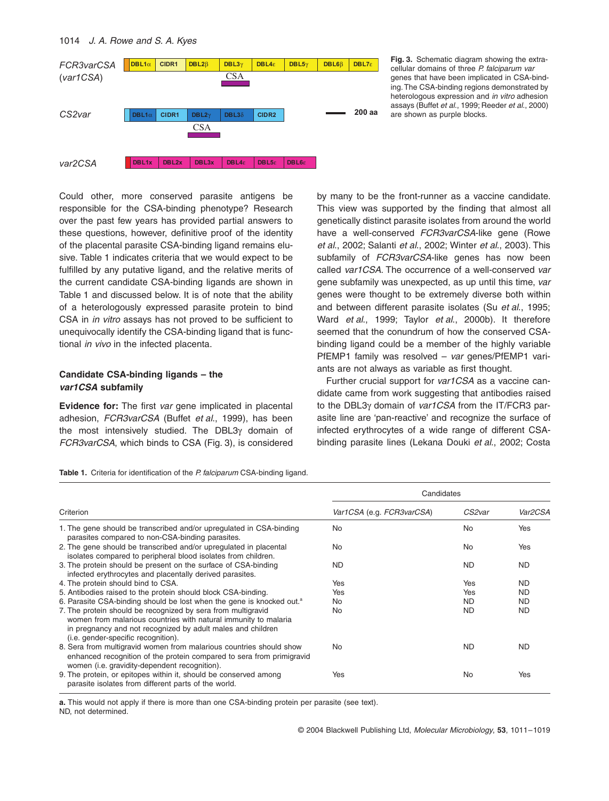

**Fig. 3.** Schematic diagram showing the extracellular domains of three *P. falciparum var* genes that have been implicated in CSA-binding. The CSA-binding regions demonstrated by heterologous expression and *in vitro* adhesion assays (Buffet *et al*., 1999; Reeder *et al*., 2000) are shown as purple blocks.

Could other, more conserved parasite antigens be responsible for the CSA-binding phenotype? Research over the past few years has provided partial answers to these questions, however, definitive proof of the identity of the placental parasite CSA-binding ligand remains elusive. Table 1 indicates criteria that we would expect to be fulfilled by any putative ligand, and the relative merits of the current candidate CSA-binding ligands are shown in Table 1 and discussed below. It is of note that the ability of a heterologously expressed parasite protein to bind CSA in *in vitro* assays has not proved to be sufficient to unequivocally identify the CSA-binding ligand that is functional *in vivo* in the infected placenta.

# **Candidate CSA-binding ligands – the**  *var1CSA* **subfamily**

**Evidence for:** The first *var* gene implicated in placental adhesion, *FCR3varCSA* (Buffet *et al*., 1999), has been the most intensively studied. The DBL3 $\gamma$  domain of *FCR3varCSA*, which binds to CSA (Fig. 3), is considered

|  |  | Table 1. Criteria for identification of the P. falciparum CSA-binding ligand. |  |  |  |  |
|--|--|-------------------------------------------------------------------------------|--|--|--|--|
|--|--|-------------------------------------------------------------------------------|--|--|--|--|

Criterion **Candidates** *Var1CSA* (e.g. *FCR3varCSA*) *CS2var Var2CSA* 1. The gene should be transcribed and/or upregulated in CSA-binding parasites compared to non-CSA-binding parasites. No No Yes 2. The gene should be transcribed and/or upregulated in placental isolates compared to peripheral blood isolates from children. No No Yes 3. The protein should be present on the surface of CSA-binding infected erythrocytes and placentally derived parasites. ND ND ND 4. The protein should bind to CSA. The protein should bind to CSA. The version of the Ves ND 5. Antibodies raised to the protein should block CSA-binding. The Ves The Yes ND Ves ND 6. Parasite CSA-binding should be lost when the gene is knocked out.<sup>a</sup> No ND ND ND ND 7. The protein should be recognized by sera from multigravid women from malarious countries with natural immunity to malaria in pregnancy and not recognized by adult males and children (i.e. gender-specific recognition). No ND ND 8. Sera from multigravid women from malarious countries should show enhanced recognition of the protein compared to sera from primigravid women (i.e. gravidity-dependent recognition). No ND ND 9. The protein, or epitopes within it, should be conserved among parasite isolates from different parts of the world. Yes No Yes

**a.** This would not apply if there is more than one CSA-binding protein per parasite (see text). ND, not determined.

by many to be the front-runner as a vaccine candidate. This view was supported by the finding that almost all genetically distinct parasite isolates from around the world have a well-conserved *FCR3varCSA*-like gene (Rowe *et al*., 2002; Salanti *et al*., 2002; Winter *et al*., 2003). This subfamily of *FCR3varCSA*-like genes has now been called *var1CSA*. The occurrence of a well-conserved *var* gene subfamily was unexpected, as up until this time, *var* genes were thought to be extremely diverse both within and between different parasite isolates (Su *et al*., 1995; Ward *et al*., 1999; Taylor *et al*., 2000b). It therefore seemed that the conundrum of how the conserved CSAbinding ligand could be a member of the highly variable PfEMP1 family was resolved – *var* genes/PfEMP1 variants are not always as variable as first thought.

Further crucial support for *var1CSA* as a vaccine candidate came from work suggesting that antibodies raised to the DBL3g domain of *var1CSA* from the IT/FCR3 parasite line are 'pan-reactive' and recognize the surface of infected erythrocytes of a wide range of different CSAbinding parasite lines (Lekana Douki *et al*., 2002; Costa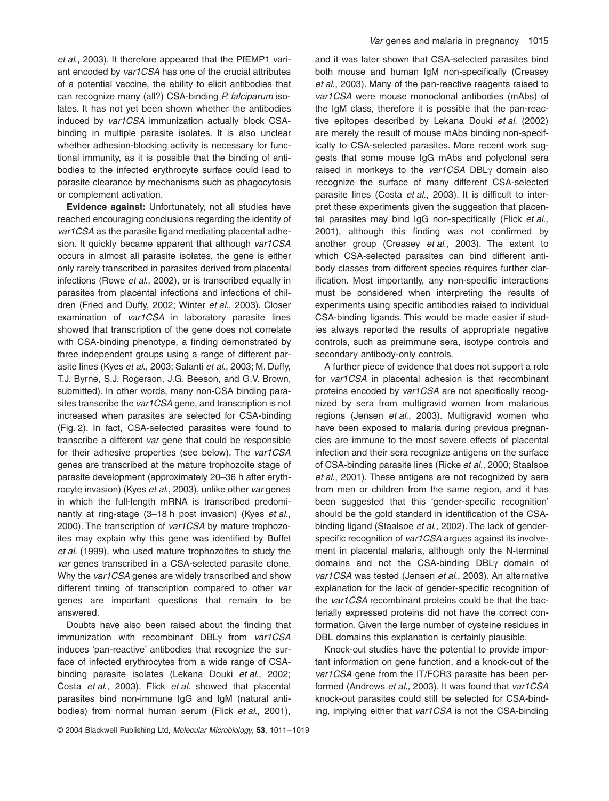*et al*., 2003). It therefore appeared that the PfEMP1 variant encoded by *var1CSA* has one of the crucial attributes of a potential vaccine, the ability to elicit antibodies that can recognize many (all?) CSA-binding *P. falciparum* isolates. It has not yet been shown whether the antibodies induced by *var1CSA* immunization actually block CSAbinding in multiple parasite isolates. It is also unclear whether adhesion-blocking activity is necessary for functional immunity, as it is possible that the binding of antibodies to the infected erythrocyte surface could lead to parasite clearance by mechanisms such as phagocytosis or complement activation.

**Evidence against:** Unfortunately, not all studies have reached encouraging conclusions regarding the identity of *var1CSA* as the parasite ligand mediating placental adhesion. It quickly became apparent that although *var1CSA* occurs in almost all parasite isolates, the gene is either only rarely transcribed in parasites derived from placental infections (Rowe *et al*., 2002), or is transcribed equally in parasites from placental infections and infections of children (Fried and Duffy, 2002; Winter *et al*., 2003). Closer examination of *var1CSA* in laboratory parasite lines showed that transcription of the gene does not correlate with CSA-binding phenotype, a finding demonstrated by three independent groups using a range of different parasite lines (Kyes *et al*., 2003; Salanti *et al*., 2003; M. Duffy, T.J. Byrne, S.J. Rogerson, J.G. Beeson, and G.V. Brown, submitted). In other words, many non-CSA binding parasites transcribe the *var1CSA* gene, and transcription is not increased when parasites are selected for CSA-binding (Fig. 2). In fact, CSA-selected parasites were found to transcribe a different *var* gene that could be responsible for their adhesive properties (see below). The *var1CSA* genes are transcribed at the mature trophozoite stage of parasite development (approximately 20–36 h after erythrocyte invasion) (Kyes *et al*., 2003), unlike other *var* genes in which the full-length mRNA is transcribed predominantly at ring-stage (3–18 h post invasion) (Kyes *et al*., 2000). The transcription of *var1CSA* by mature trophozoites may explain why this gene was identified by Buffet *et al*. (1999), who used mature trophozoites to study the *var* genes transcribed in a CSA-selected parasite clone. Why the *var1CSA* genes are widely transcribed and show different timing of transcription compared to other *var* genes are important questions that remain to be answered.

Doubts have also been raised about the finding that immunization with recombinant DBLg from *var1CSA* induces 'pan-reactive' antibodies that recognize the surface of infected erythrocytes from a wide range of CSAbinding parasite isolates (Lekana Douki *et al*., 2002; Costa *et al*., 2003). Flick *et al*. showed that placental parasites bind non-immune IgG and IgM (natural antibodies) from normal human serum (Flick *et al*., 2001), and it was later shown that CSA-selected parasites bind both mouse and human IgM non-specifically (Creasey *et al*., 2003). Many of the pan-reactive reagents raised to *var1CSA* were mouse monoclonal antibodies (mAbs) of the IgM class, therefore it is possible that the pan-reactive epitopes described by Lekana Douki *et al*. (2002) are merely the result of mouse mAbs binding non-specifically to CSA-selected parasites. More recent work suggests that some mouse IgG mAbs and polyclonal sera raised in monkeys to the var1CSA DBLy domain also recognize the surface of many different CSA-selected parasite lines (Costa *et al*., 2003). It is difficult to interpret these experiments given the suggestion that placental parasites may bind IgG non-specifically (Flick *et al*., 2001), although this finding was not confirmed by another group (Creasey *et al*., 2003). The extent to which CSA-selected parasites can bind different antibody classes from different species requires further clarification. Most importantly, any non-specific interactions must be considered when interpreting the results of experiments using specific antibodies raised to individual CSA-binding ligands. This would be made easier if studies always reported the results of appropriate negative controls, such as preimmune sera, isotype controls and secondary antibody-only controls.

A further piece of evidence that does not support a role for *var1CSA* in placental adhesion is that recombinant proteins encoded by *var1CSA* are not specifically recognized by sera from multigravid women from malarious regions (Jensen *et al*., 2003). Multigravid women who have been exposed to malaria during previous pregnancies are immune to the most severe effects of placental infection and their sera recognize antigens on the surface of CSA-binding parasite lines (Ricke *et al*., 2000; Staalsoe *et al*., 2001). These antigens are not recognized by sera from men or children from the same region, and it has been suggested that this 'gender-specific recognition' should be the gold standard in identification of the CSAbinding ligand (Staalsoe *et al*., 2002). The lack of genderspecific recognition of *var1CSA* argues against its involvement in placental malaria, although only the N-terminal domains and not the CSA-binding DBLy domain of *var1CSA* was tested (Jensen *et al*., 2003). An alternative explanation for the lack of gender-specific recognition of the *var1CSA* recombinant proteins could be that the bacterially expressed proteins did not have the correct conformation. Given the large number of cysteine residues in DBL domains this explanation is certainly plausible.

Knock-out studies have the potential to provide important information on gene function, and a knock-out of the *var1CSA* gene from the IT/FCR3 parasite has been performed (Andrews *et al*., 2003). It was found that *var1CSA* knock-out parasites could still be selected for CSA-binding, implying either that *var1CSA* is not the CSA-binding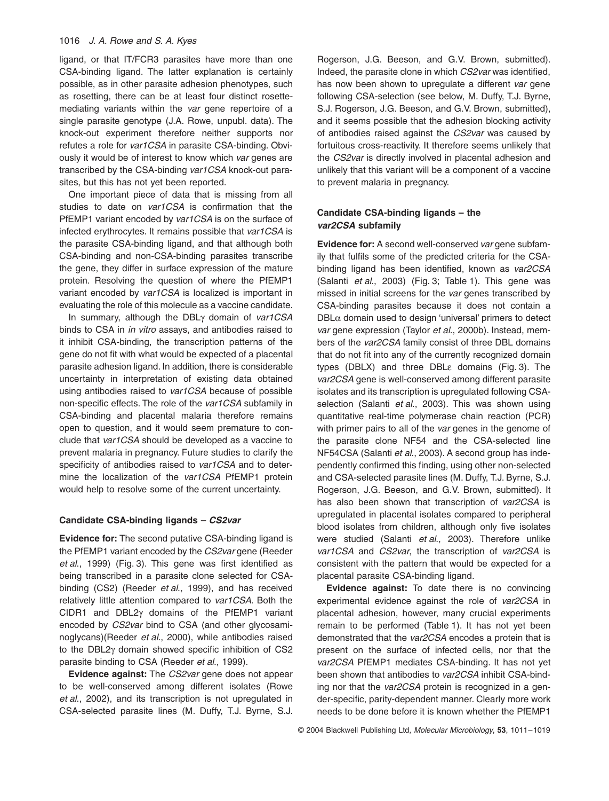# 1016 *J. A. Rowe and S. A. Kyes*

ligand, or that IT/FCR3 parasites have more than one CSA-binding ligand. The latter explanation is certainly possible, as in other parasite adhesion phenotypes, such as rosetting, there can be at least four distinct rosettemediating variants within the *var* gene repertoire of a single parasite genotype (J.A. Rowe, unpubl. data). The knock-out experiment therefore neither supports nor refutes a role for *var1CSA* in parasite CSA-binding. Obviously it would be of interest to know which *var* genes are transcribed by the CSA-binding *var1CSA* knock-out parasites, but this has not yet been reported.

One important piece of data that is missing from all studies to date on *var1CSA* is confirmation that the PfEMP1 variant encoded by *var1CSA* is on the surface of infected erythrocytes. It remains possible that *var1CSA* is the parasite CSA-binding ligand, and that although both CSA-binding and non-CSA-binding parasites transcribe the gene, they differ in surface expression of the mature protein. Resolving the question of where the PfEMP1 variant encoded by *var1CSA* is localized is important in evaluating the role of this molecule as a vaccine candidate.

In summary, although the DBLg domain of *var1CSA* binds to CSA in *in vitro* assays, and antibodies raised to it inhibit CSA-binding, the transcription patterns of the gene do not fit with what would be expected of a placental parasite adhesion ligand. In addition, there is considerable uncertainty in interpretation of existing data obtained using antibodies raised to *var1CSA* because of possible non-specific effects. The role of the *var1CSA* subfamily in CSA-binding and placental malaria therefore remains open to question, and it would seem premature to conclude that *var1CSA* should be developed as a vaccine to prevent malaria in pregnancy. Future studies to clarify the specificity of antibodies raised to *var1CSA* and to determine the localization of the *var1CSA* PfEMP1 protein would help to resolve some of the current uncertainty.

### **Candidate CSA-binding ligands –** *CS2var*

**Evidence for:** The second putative CSA-binding ligand is the PfEMP1 variant encoded by the *CS2var* gene (Reeder *et al*., 1999) (Fig. 3). This gene was first identified as being transcribed in a parasite clone selected for CSAbinding (CS2) (Reeder *et al*., 1999), and has received relatively little attention compared to *var1CSA*. Both the CIDR1 and DBL2g domains of the PfEMP1 variant encoded by *CS2var* bind to CSA (and other glycosaminoglycans)(Reeder *et al*., 2000), while antibodies raised to the DBL2y domain showed specific inhibition of CS2 parasite binding to CSA (Reeder *et al*., 1999).

**Evidence against:** The *CS2var* gene does not appear to be well-conserved among different isolates (Rowe *et al*., 2002), and its transcription is not upregulated in CSA-selected parasite lines (M. Duffy, T.J. Byrne, S.J. Rogerson, J.G. Beeson, and G.V. Brown, submitted). Indeed, the parasite clone in which *CS2var* was identified, has now been shown to upregulate a different *var* gene following CSA-selection (see below, M. Duffy, T.J. Byrne, S.J. Rogerson, J.G. Beeson, and G.V. Brown, submitted), and it seems possible that the adhesion blocking activity of antibodies raised against the *CS2var* was caused by fortuitous cross-reactivity. It therefore seems unlikely that the *CS2var* is directly involved in placental adhesion and unlikely that this variant will be a component of a vaccine to prevent malaria in pregnancy.

# **Candidate CSA-binding ligands – the**  *var2CSA* **subfamily**

**Evidence for:** A second well-conserved *var* gene subfamily that fulfils some of the predicted criteria for the CSAbinding ligand has been identified, known as *var2CSA* (Salanti *et al*., 2003) (Fig. 3; Table 1). This gene was missed in initial screens for the *var* genes transcribed by CSA-binding parasites because it does not contain a  $DBL\alpha$  domain used to design 'universal' primers to detect *var* gene expression (Taylor *et al*., 2000b). Instead, members of the *var2CSA* family consist of three DBL domains that do not fit into any of the currently recognized domain types (DBLX) and three DBLe domains (Fig. 3). The var<sub>2</sub>CSA</sub> gene is well-conserved among different parasite isolates and its transcription is upregulated following CSAselection (Salanti *et al*., 2003). This was shown using quantitative real-time polymerase chain reaction (PCR) with primer pairs to all of the *var* genes in the genome of the parasite clone NF54 and the CSA-selected line NF54CSA (Salanti *et al*., 2003). A second group has independently confirmed this finding, using other non-selected and CSA-selected parasite lines (M. Duffy, T.J. Byrne, S.J. Rogerson, J.G. Beeson, and G.V. Brown, submitted). It has also been shown that transcription of *var2CSA* is upregulated in placental isolates compared to peripheral blood isolates from children, although only five isolates were studied (Salanti *et al*., 2003). Therefore unlike *var1CSA* and *CS2var*, the transcription of *var2CSA* is consistent with the pattern that would be expected for a placental parasite CSA-binding ligand.

**Evidence against:** To date there is no convincing experimental evidence against the role of *var2CSA* in placental adhesion, however, many crucial experiments remain to be performed (Table 1). It has not yet been demonstrated that the *var2CSA* encodes a protein that is present on the surface of infected cells, nor that the *var2CSA* PfEMP1 mediates CSA-binding. It has not yet been shown that antibodies to *var2CSA* inhibit CSA-binding nor that the *var2CSA* protein is recognized in a gender-specific, parity-dependent manner. Clearly more work needs to be done before it is known whether the PfEMP1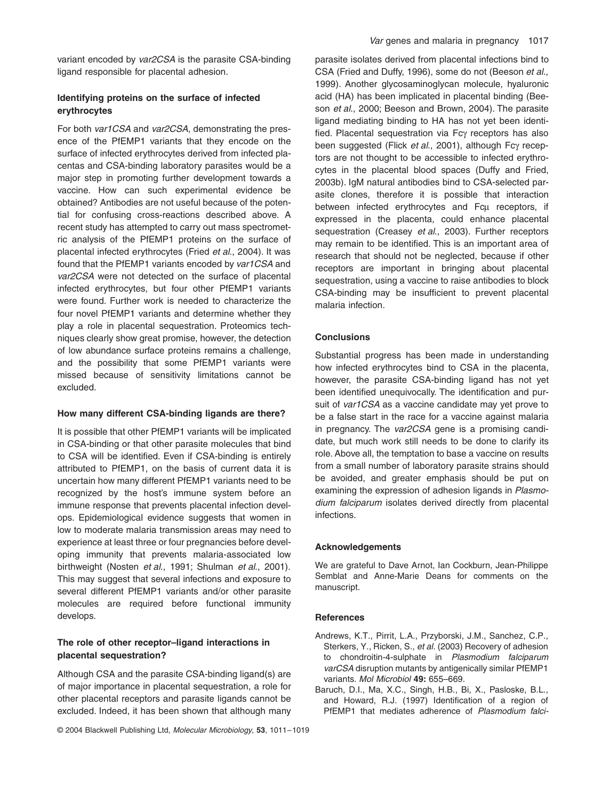variant encoded by *var2CSA* is the parasite CSA-binding ligand responsible for placental adhesion.

# **Identifying proteins on the surface of infected erythrocytes**

For both *var1CSA* and *var2CSA*, demonstrating the presence of the PfEMP1 variants that they encode on the surface of infected erythrocytes derived from infected placentas and CSA-binding laboratory parasites would be a major step in promoting further development towards a vaccine. How can such experimental evidence be obtained? Antibodies are not useful because of the potential for confusing cross-reactions described above. A recent study has attempted to carry out mass spectrometric analysis of the PfEMP1 proteins on the surface of placental infected erythrocytes (Fried *et al*., 2004). It was found that the PfEMP1 variants encoded by *var1CSA* and *var2CSA* were not detected on the surface of placental infected erythrocytes, but four other PfEMP1 variants were found. Further work is needed to characterize the four novel PfEMP1 variants and determine whether they play a role in placental sequestration. Proteomics techniques clearly show great promise, however, the detection of low abundance surface proteins remains a challenge, and the possibility that some PfEMP1 variants were missed because of sensitivity limitations cannot be excluded.

## **How many different CSA-binding ligands are there?**

It is possible that other PfEMP1 variants will be implicated in CSA-binding or that other parasite molecules that bind to CSA will be identified. Even if CSA-binding is entirely attributed to PfEMP1, on the basis of current data it is uncertain how many different PfEMP1 variants need to be recognized by the host's immune system before an immune response that prevents placental infection develops. Epidemiological evidence suggests that women in low to moderate malaria transmission areas may need to experience at least three or four pregnancies before developing immunity that prevents malaria-associated low birthweight (Nosten *et al*., 1991; Shulman *et al*., 2001). This may suggest that several infections and exposure to several different PfEMP1 variants and/or other parasite molecules are required before functional immunity develops.

# **The role of other receptor–ligand interactions in placental sequestration?**

Although CSA and the parasite CSA-binding ligand(s) are of major importance in placental sequestration, a role for other placental receptors and parasite ligands cannot be excluded. Indeed, it has been shown that although many

parasite isolates derived from placental infections bind to CSA (Fried and Duffy, 1996), some do not (Beeson *et al*., 1999). Another glycosaminoglycan molecule, hyaluronic acid (HA) has been implicated in placental binding (Beeson *et al*., 2000; Beeson and Brown, 2004). The parasite ligand mediating binding to HA has not yet been identified. Placental sequestration via Fcy receptors has also been suggested (Flick *et al.*, 2001), although Fcγ receptors are not thought to be accessible to infected erythrocytes in the placental blood spaces (Duffy and Fried, 2003b). IgM natural antibodies bind to CSA-selected parasite clones, therefore it is possible that interaction between infected erythrocytes and Fcu receptors, if expressed in the placenta, could enhance placental sequestration (Creasey *et al*., 2003). Further receptors may remain to be identified. This is an important area of research that should not be neglected, because if other receptors are important in bringing about placental sequestration, using a vaccine to raise antibodies to block CSA-binding may be insufficient to prevent placental malaria infection.

# **Conclusions**

Substantial progress has been made in understanding how infected erythrocytes bind to CSA in the placenta, however, the parasite CSA-binding ligand has not yet been identified unequivocally. The identification and pursuit of *var1CSA* as a vaccine candidate may yet prove to be a false start in the race for a vaccine against malaria in pregnancy. The *var2CSA* gene is a promising candidate, but much work still needs to be done to clarify its role. Above all, the temptation to base a vaccine on results from a small number of laboratory parasite strains should be avoided, and greater emphasis should be put on examining the expression of adhesion ligands in *Plasmodium falciparum* isolates derived directly from placental infections.

### **Acknowledgements**

We are grateful to Dave Arnot, Ian Cockburn, Jean-Philippe Semblat and Anne-Marie Deans for comments on the manuscript.

# **References**

- Andrews, K.T., Pirrit, L.A., Przyborski, J.M., Sanchez, C.P., Sterkers, Y., Ricken, S., *et al.* (2003) Recovery of adhesion to chondroitin-4-sulphate in *Plasmodium falciparum varCSA* disruption mutants by antigenically similar PfEMP1 variants. *Mol Microbiol* **49:** 655–669.
- Baruch, D.I., Ma, X.C., Singh, H.B., Bi, X., Pasloske, B.L., and Howard, R.J. (1997) Identification of a region of PfEMP1 that mediates adherence of *Plasmodium falci-*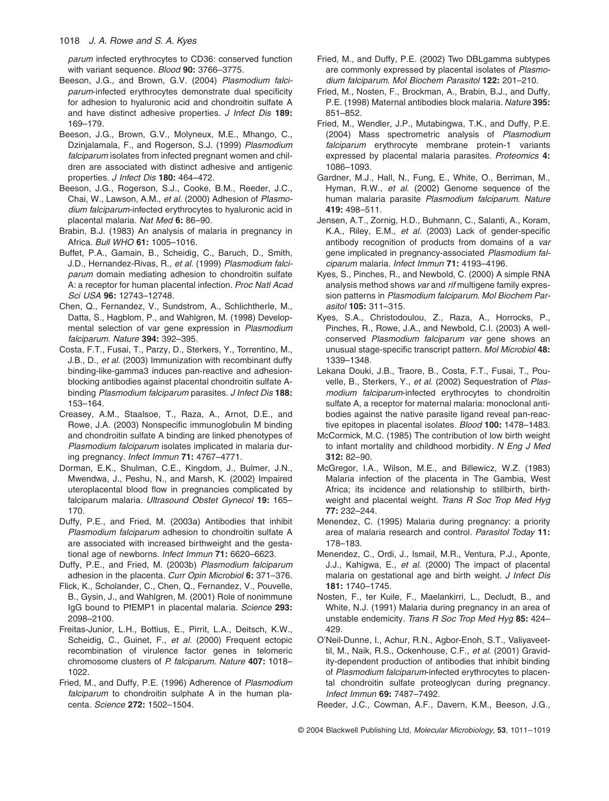1018 *J. A. Rowe and S. A. Kyes*

*parum* infected erythrocytes to CD36: conserved function with variant sequence. *Blood* **90:** 3766–3775.

- Beeson, J.G., and Brown, G.V. (2004) *Plasmodium falciparum*-infected erythrocytes demonstrate dual specificity for adhesion to hyaluronic acid and chondroitin sulfate A and have distinct adhesive properties. *J Infect Dis* **189:** 169–179.
- Beeson, J.G., Brown, G.V., Molyneux, M.E., Mhango, C., Dzinjalamala, F., and Rogerson, S.J. (1999) *Plasmodium falciparum* isolates from infected pregnant women and children are associated with distinct adhesive and antigenic properties. *J Infect Dis* **180:** 464–472.
- Beeson, J.G., Rogerson, S.J., Cooke, B.M., Reeder, J.C., Chai, W., Lawson, A.M., *et al.* (2000) Adhesion of *Plasmodium falciparum*-infected erythrocytes to hyaluronic acid in placental malaria. *Nat Med* **6:** 86–90.
- Brabin, B.J. (1983) An analysis of malaria in pregnancy in Africa. *Bull WHO* **61:** 1005–1016.
- Buffet, P.A., Gamain, B., Scheidig, C., Baruch, D., Smith, J.D., Hernandez-Rivas, R., *et al.* (1999) *Plasmodium falciparum* domain mediating adhesion to chondroitin sulfate A: a receptor for human placental infection. *Proc Natl Acad Sci USA* **96:** 12743–12748.
- Chen, Q., Fernandez, V., Sundstrom, A., Schlichtherle, M., Datta, S., Hagblom, P., and Wahlgren, M. (1998) Developmental selection of var gene expression in *Plasmodium falciparum*. *Nature* **394:** 392–395.
- Costa, F.T., Fusai, T., Parzy, D., Sterkers, Y., Torrentino, M., J.B., D., *et al.* (2003) Immunization with recombinant duffy binding-like-gamma3 induces pan-reactive and adhesionblocking antibodies against placental chondroitin sulfate Abinding *Plasmodium falciparum* parasites. *J Infect Dis* **188:** 153–164.
- Creasey, A.M., Staalsoe, T., Raza, A., Arnot, D.E., and Rowe, J.A. (2003) Nonspecific immunoglobulin M binding and chondroitin sulfate A binding are linked phenotypes of *Plasmodium falciparum* isolates implicated in malaria during pregnancy. *Infect Immun* **71:** 4767–4771.
- Dorman, E.K., Shulman, C.E., Kingdom, J., Bulmer, J.N., Mwendwa, J., Peshu, N., and Marsh, K. (2002) Impaired uteroplacental blood flow in pregnancies complicated by falciparum malaria. *Ultrasound Obstet Gynecol* **19:** 165– 170.
- Duffy, P.E., and Fried, M. (2003a) Antibodies that inhibit *Plasmodium falciparum* adhesion to chondroitin sulfate A are associated with increased birthweight and the gestational age of newborns. *Infect Immun* **71:** 6620–6623.
- Duffy, P.E., and Fried, M. (2003b) *Plasmodium falciparum* adhesion in the placenta. *Curr Opin Microbiol* **6:** 371–376.
- Flick, K., Scholander, C., Chen, Q., Fernandez, V., Pouvelle, B., Gysin, J., and Wahlgren, M. (2001) Role of nonimmune IgG bound to PfEMP1 in placental malaria. *Science* **293:** 2098–2100.
- Freitas-Junior, L.H., Bottius, E., Pirrit, L.A., Deitsch, K.W., Scheidig, C., Guinet, F., *et al.* (2000) Frequent ectopic recombination of virulence factor genes in telomeric chromosome clusters of *P. falciparum*. *Nature* **407:** 1018– 1022.
- Fried, M., and Duffy, P.E. (1996) Adherence of *Plasmodium falciparum* to chondroitin sulphate A in the human placenta. *Science* **272:** 1502–1504.
- Fried, M., and Duffy, P.E. (2002) Two DBLgamma subtypes are commonly expressed by placental isolates of *Plasmodium falciparum*. *Mol Biochem Parasitol* **122:** 201–210.
- Fried, M., Nosten, F., Brockman, A., Brabin, B.J., and Duffy, P.E. (1998) Maternal antibodies block malaria. *Nature* **395:** 851–852.
- Fried, M., Wendler, J.P., Mutabingwa, T.K., and Duffy, P.E. (2004) Mass spectrometric analysis of *Plasmodium falciparum* erythrocyte membrane protein-1 variants expressed by placental malaria parasites. *Proteomics* **4:** 1086–1093.
- Gardner, M.J., Hall, N., Fung, E., White, O., Berriman, M., Hyman, R.W., *et al.* (2002) Genome sequence of the human malaria parasite *Plasmodium falciparum*. *Nature* **419:** 498–511.
- Jensen, A.T., Zornig, H.D., Buhmann, C., Salanti, A., Koram, K.A., Riley, E.M., *et al.* (2003) Lack of gender-specific antibody recognition of products from domains of a *var* gene implicated in pregnancy-associated *Plasmodium falciparum* malaria. *Infect Immun* **71:** 4193–4196.
- Kyes, S., Pinches, R., and Newbold, C. (2000) A simple RNA analysis method shows *var* and *rif* multigene family expression patterns in *Plasmodium falciparum*. *Mol Biochem Parasitol* **105:** 311–315.
- Kyes, S.A., Christodoulou, Z., Raza, A., Horrocks, P., Pinches, R., Rowe, J.A., and Newbold, C.I. (2003) A wellconserved *Plasmodium falciparum var* gene shows an unusual stage-specific transcript pattern. *Mol Microbiol* **48:** 1339–1348.
- Lekana Douki, J.B., Traore, B., Costa, F.T., Fusai, T., Pouvelle, B., Sterkers, Y., *et al.* (2002) Sequestration of *Plasmodium falciparum*-infected erythrocytes to chondroitin sulfate A, a receptor for maternal malaria: monoclonal antibodies against the native parasite ligand reveal pan-reactive epitopes in placental isolates. *Blood* **100:** 1478–1483.
- McCormick, M.C. (1985) The contribution of low birth weight to infant mortality and childhood morbidity. *N Eng J Med* **312:** 82–90.
- McGregor, I.A., Wilson, M.E., and Billewicz, W.Z. (1983) Malaria infection of the placenta in The Gambia, West Africa; its incidence and relationship to stillbirth, birthweight and placental weight. *Trans R Soc Trop Med Hyg* **77:** 232–244.
- Menendez, C. (1995) Malaria during pregnancy: a priority area of malaria research and control. *Parasitol Today* **11:** 178–183.
- Menendez, C., Ordi, J., Ismail, M.R., Ventura, P.J., Aponte, J.J., Kahigwa, E., *et al.* (2000) The impact of placental malaria on gestational age and birth weight. *J Infect Dis* **181:** 1740–1745.
- Nosten, F., ter Kuile, F., Maelankirri, L., Decludt, B., and White, N.J. (1991) Malaria during pregnancy in an area of unstable endemicity. *Trans R Soc Trop Med Hyg* **85:** 424– 429.
- O'Neil-Dunne, I., Achur, R.N., Agbor-Enoh, S.T., Valiyaveettil, M., Naik, R.S., Ockenhouse, C.F., *et al.* (2001) Gravidity-dependent production of antibodies that inhibit binding of *Plasmodium falciparum*-infected erythrocytes to placental chondroitin sulfate proteoglycan during pregnancy. *Infect Immun* **69:** 7487–7492.
- Reeder, J.C., Cowman, A.F., Davern, K.M., Beeson, J.G.,

© 2004 Blackwell Publishing Ltd, *Molecular Microbiology*, **53**, 1011–1019